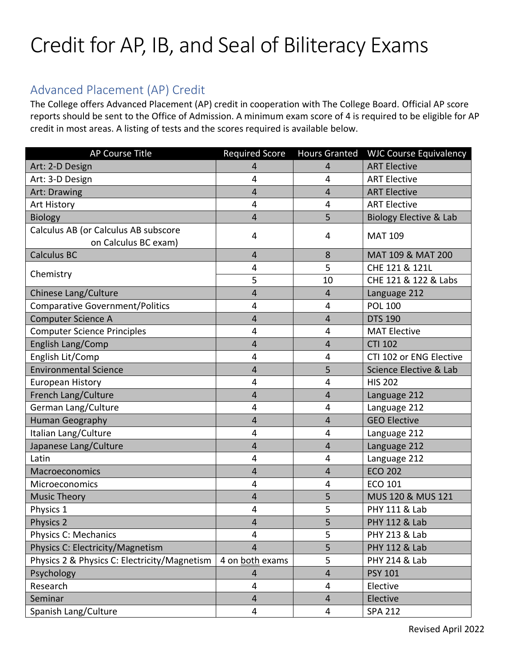## Credit for AP, IB, and Seal of Biliteracy Exams

## Advanced Placement (AP) Credit

The College offers Advanced Placement (AP) credit in cooperation with The College Board. Official AP score reports should be sent to the Office of Admission. A minimum exam score of 4 is required to be eligible for AP credit in most areas. A listing of tests and the scores required is available below.

| <b>AP Course Title</b>                                       | <b>Required Score</b>   | <b>Hours Granted</b> | <b>WJC Course Equivalency</b>     |
|--------------------------------------------------------------|-------------------------|----------------------|-----------------------------------|
| Art: 2-D Design                                              | 4                       | $\overline{4}$       | <b>ART Elective</b>               |
| Art: 3-D Design                                              | 4                       | 4                    | <b>ART Elective</b>               |
| Art: Drawing                                                 | 4                       | $\overline{4}$       | <b>ART Elective</b>               |
| Art History                                                  | 4                       | 4                    | <b>ART Elective</b>               |
| <b>Biology</b>                                               | 4                       | 5                    | <b>Biology Elective &amp; Lab</b> |
| Calculus AB (or Calculus AB subscore<br>on Calculus BC exam) | 4                       | 4                    | <b>MAT 109</b>                    |
| <b>Calculus BC</b>                                           | $\overline{4}$          | 8                    | MAT 109 & MAT 200                 |
|                                                              | 4                       | 5                    | CHE 121 & 121L                    |
| Chemistry                                                    | 5                       | 10                   | CHE 121 & 122 & Labs              |
| Chinese Lang/Culture                                         | $\overline{4}$          | $\overline{4}$       | Language 212                      |
| <b>Comparative Government/Politics</b>                       | 4                       | 4                    | <b>POL 100</b>                    |
| <b>Computer Science A</b>                                    | $\overline{\mathbf{4}}$ | $\overline{4}$       | <b>DTS 190</b>                    |
| <b>Computer Science Principles</b>                           | 4                       | 4                    | <b>MAT Elective</b>               |
| English Lang/Comp                                            | 4                       | 4                    | <b>CTI 102</b>                    |
| English Lit/Comp                                             | 4                       | 4                    | CTI 102 or ENG Elective           |
| <b>Environmental Science</b>                                 | 4                       | 5                    | Science Elective & Lab            |
| <b>European History</b>                                      | 4                       | 4                    | <b>HIS 202</b>                    |
| French Lang/Culture                                          | 4                       | $\overline{4}$       | Language 212                      |
| German Lang/Culture                                          | 4                       | 4                    | Language 212                      |
| Human Geography                                              | $\overline{4}$          | $\overline{4}$       | <b>GEO Elective</b>               |
| Italian Lang/Culture                                         | 4                       | 4                    | Language 212                      |
| Japanese Lang/Culture                                        | 4                       | $\overline{4}$       | Language 212                      |
| Latin                                                        | 4                       | 4                    | Language 212                      |
| Macroeconomics                                               | $\overline{4}$          | $\overline{4}$       | <b>ECO 202</b>                    |
| Microeconomics                                               | 4                       | 4                    | <b>ECO 101</b>                    |
| <b>Music Theory</b>                                          | $\overline{4}$          | 5                    | MUS 120 & MUS 121                 |
| Physics 1                                                    | 4                       | 5                    | PHY 111 & Lab                     |
| Physics 2                                                    | 4                       | 5                    | <b>PHY 112 &amp; Lab</b>          |
| Physics C: Mechanics                                         | 4                       | 5                    | PHY 213 & Lab                     |
| Physics C: Electricity/Magnetism                             | $\overline{4}$          | 5                    | <b>PHY 112 &amp; Lab</b>          |
| Physics 2 & Physics C: Electricity/Magnetism                 | 4 on both exams         | 5                    | PHY 214 & Lab                     |
| Psychology                                                   | 4                       | 4                    | <b>PSY 101</b>                    |
| Research                                                     | 4                       | 4                    | Elective                          |
| Seminar                                                      | $\overline{4}$          | $\overline{4}$       | Elective                          |
| Spanish Lang/Culture                                         | 4                       | 4                    | <b>SPA 212</b>                    |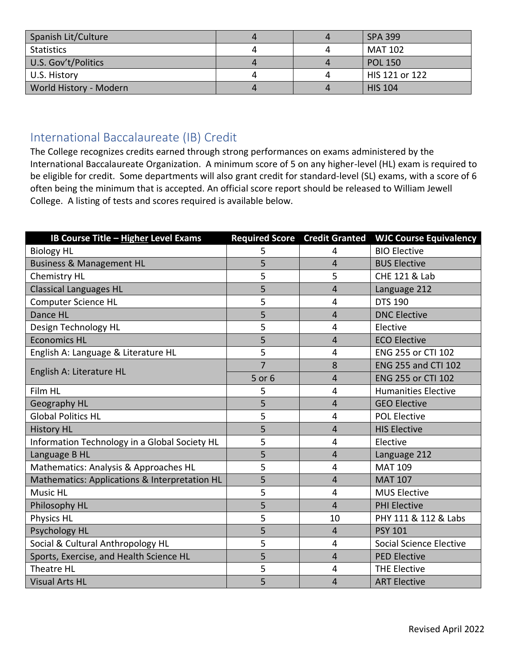| Spanish Lit/Culture    | 4 | <b>SPA 399</b> |
|------------------------|---|----------------|
| Statistics             |   | MAT 102        |
| U.S. Gov't/Politics    | 4 | <b>POL 150</b> |
| U.S. History           |   | HIS 121 or 122 |
| World History - Modern | 4 | <b>HIS 104</b> |

## International Baccalaureate (IB) Credit

The College recognizes credits earned through strong performances on exams administered by the International Baccalaureate Organization. A minimum score of 5 on any higher-level (HL) exam is required to be eligible for credit. Some departments will also grant credit for standard-level (SL) exams, with a score of 6 often being the minimum that is accepted. An official score report should be released to William Jewell College. A listing of tests and scores required is available below.

| IB Course Title - Higher Level Exams          | <b>Required Score</b> | <b>Credit Granted</b> | <b>WJC Course Equivalency</b> |
|-----------------------------------------------|-----------------------|-----------------------|-------------------------------|
| <b>Biology HL</b>                             | 5                     | 4                     | <b>BIO Elective</b>           |
| <b>Business &amp; Management HL</b>           | 5                     | 4                     | <b>BUS Elective</b>           |
| <b>Chemistry HL</b>                           | 5                     | 5                     | <b>CHE 121 &amp; Lab</b>      |
| <b>Classical Languages HL</b>                 | 5                     | 4                     | Language 212                  |
| <b>Computer Science HL</b>                    | 5                     | 4                     | <b>DTS 190</b>                |
| Dance HL                                      | 5                     | 4                     | <b>DNC Elective</b>           |
| Design Technology HL                          | 5                     | 4                     | Elective                      |
| <b>Economics HL</b>                           | 5                     | 4                     | <b>ECO Elective</b>           |
| English A: Language & Literature HL           | 5                     | 4                     | ENG 255 or CTI 102            |
|                                               | $\overline{7}$        | 8                     | <b>ENG 255 and CTI 102</b>    |
| English A: Literature HL                      | 5 or 6                | 4                     | <b>ENG 255 or CTI 102</b>     |
| Film HL                                       | 5                     | 4                     | <b>Humanities Elective</b>    |
| Geography HL                                  | 5                     | $\overline{4}$        | <b>GEO Elective</b>           |
| <b>Global Politics HL</b>                     | 5                     | 4                     | <b>POL Elective</b>           |
| <b>History HL</b>                             | 5                     | 4                     | <b>HIS Elective</b>           |
| Information Technology in a Global Society HL | 5                     | 4                     | Elective                      |
| Language B HL                                 | 5                     | 4                     | Language 212                  |
| Mathematics: Analysis & Approaches HL         | 5                     | 4                     | <b>MAT 109</b>                |
| Mathematics: Applications & Interpretation HL | 5                     | $\overline{4}$        | <b>MAT 107</b>                |
| <b>Music HL</b>                               | 5                     | 4                     | <b>MUS Elective</b>           |
| Philosophy HL                                 | 5                     | 4                     | <b>PHI Elective</b>           |
| Physics HL                                    | 5                     | 10                    | PHY 111 & 112 & Labs          |
| Psychology HL                                 | 5                     | 4                     | <b>PSY 101</b>                |
| Social & Cultural Anthropology HL             | 5                     | 4                     | Social Science Elective       |
| Sports, Exercise, and Health Science HL       | 5                     | $\overline{4}$        | <b>PED Elective</b>           |
| Theatre HL                                    | 5                     | 4                     | <b>THE Elective</b>           |
| <b>Visual Arts HL</b>                         | 5                     | 4                     | <b>ART Elective</b>           |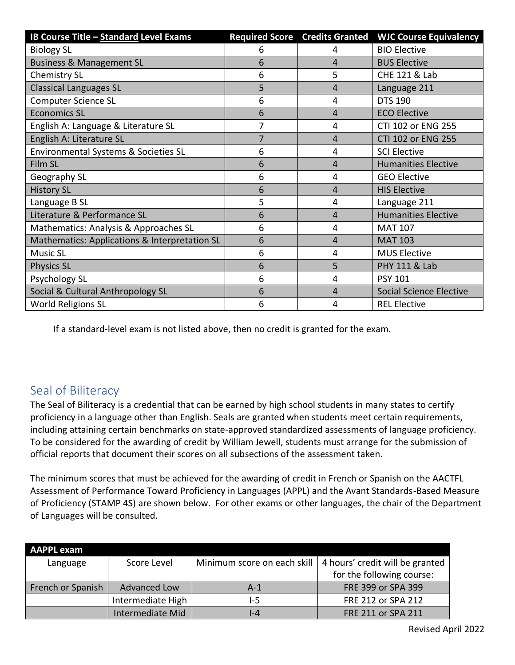| IB Course Title - Standard Level Exams        | <b>Required Score</b> | <b>Credits Granted</b> | <b>WJC Course Equivalency</b>  |
|-----------------------------------------------|-----------------------|------------------------|--------------------------------|
| <b>Biology SL</b>                             | 6                     | 4                      | <b>BIO Elective</b>            |
| <b>Business &amp; Management SL</b>           | 6                     | 4                      | <b>BUS Elective</b>            |
| Chemistry SL                                  | 6                     | 5                      | CHE 121 & Lab                  |
| <b>Classical Languages SL</b>                 | 5                     | 4                      | Language 211                   |
| <b>Computer Science SL</b>                    | 6                     | 4                      | <b>DTS 190</b>                 |
| <b>Economics SL</b>                           | 6                     | 4                      | <b>ECO Elective</b>            |
| English A: Language & Literature SL           | 7                     | 4                      | CTI 102 or ENG 255             |
| English A: Literature SL                      | $\overline{7}$        | 4                      | CTI 102 or ENG 255             |
| Environmental Systems & Societies SL          | 6                     | 4                      | <b>SCI Elective</b>            |
| Film SL                                       | 6                     | 4                      | <b>Humanities Elective</b>     |
| Geography SL                                  | 6                     | 4                      | <b>GEO Elective</b>            |
| <b>History SL</b>                             | 6                     | 4                      | <b>HIS Elective</b>            |
| Language B SL                                 | 5                     | 4                      | Language 211                   |
| Literature & Performance SL                   | 6                     | 4                      | <b>Humanities Elective</b>     |
| Mathematics: Analysis & Approaches SL         | 6                     | 4                      | <b>MAT 107</b>                 |
| Mathematics: Applications & Interpretation SL | 6                     | 4                      | <b>MAT 103</b>                 |
| <b>Music SL</b>                               | 6                     | 4                      | <b>MUS Elective</b>            |
| <b>Physics SL</b>                             | 6                     | 5                      | <b>PHY 111 &amp; Lab</b>       |
| Psychology SL                                 | 6                     | 4                      | <b>PSY 101</b>                 |
| Social & Cultural Anthropology SL             | 6                     | 4                      | <b>Social Science Elective</b> |
| <b>World Religions SL</b>                     | 6                     | 4                      | <b>REL Elective</b>            |

If a standard-level exam is not listed above, then no credit is granted for the exam.

## Seal of Biliteracy

The Seal of Biliteracy is a credential that can be earned by high school students in many states to certify proficiency in a language other than English. Seals are granted when students meet certain requirements, including attaining certain benchmarks on state-approved standardized assessments of language proficiency. To be considered for the awarding of credit by William Jewell, students must arrange for the submission of official reports that document their scores on all subsections of the assessment taken.

The minimum scores that must be achieved for the awarding of credit in French or Spanish on the AACTFL Assessment of Performance Toward Proficiency in Languages (APPL) and the Avant Standards-Based Measure of Proficiency (STAMP 4S) are shown below. For other exams or other languages, the chair of the Department of Languages will be consulted.

| <b>AAPPL exam</b> |                     |                             |                                 |
|-------------------|---------------------|-----------------------------|---------------------------------|
| Language          | Score Level         | Minimum score on each skill | 4 hours' credit will be granted |
|                   |                     |                             | for the following course:       |
| French or Spanish | <b>Advanced Low</b> | $A-1$                       | FRE 399 or SPA 399              |
|                   | Intermediate High   | 1-5                         | FRE 212 or SPA 212              |
|                   | Intermediate Mid    | $-4$                        | FRE 211 or SPA 211              |